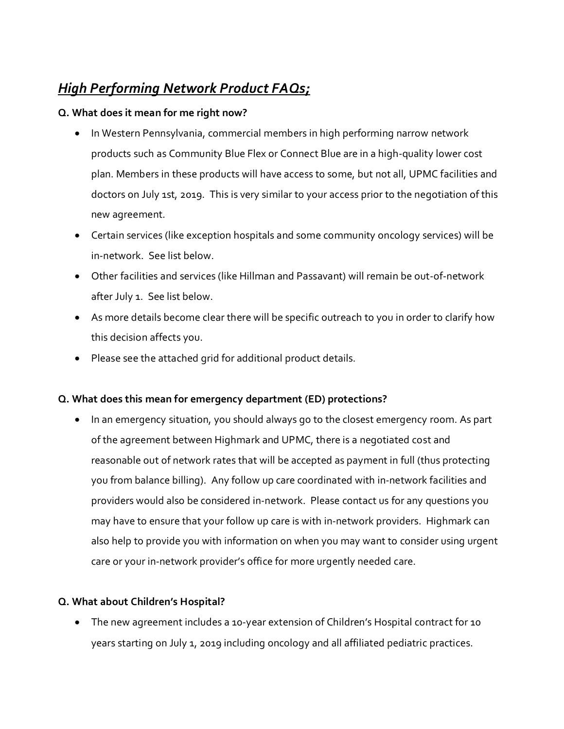# *High Performing Network Product FAQs;*

## **Q. What does it mean for me right now?**

- In Western Pennsylvania, commercial members in high performing narrow network products such as Community Blue Flex or Connect Blue are in a high-quality lower cost plan. Members in these products will have access to some, but not all, UPMC facilities and doctors on July 1st, 2019. This is very similar to your access prior to the negotiation of this new agreement.
- Certain services (like exception hospitals and some community oncology services) will be in-network. See list below.
- Other facilities and services (like Hillman and Passavant) will remain be out-of-network after July 1. See list below.
- As more details become clear there will be specific outreach to you in order to clarify how this decision affects you.
- Please see the attached grid for additional product details.

# **Q. What does this mean for emergency department (ED) protections?**

• In an emergency situation, you should always go to the closest emergency room. As part of the agreement between Highmark and UPMC, there is a negotiated cost and reasonable out of network rates that will be accepted as payment in full (thus protecting you from balance billing). Any follow up care coordinated with in-network facilities and providers would also be considered in-network. Please contact us for any questions you may have to ensure that your follow up care is with in-network providers. Highmark can also help to provide you with information on when you may want to consider using urgent care or your in-network provider's office for more urgently needed care.

## **Q. What about Children's Hospital?**

 The new agreement includes a 10-year extension of Children's Hospital contract for 10 years starting on July 1, 2019 including oncology and all affiliated pediatric practices.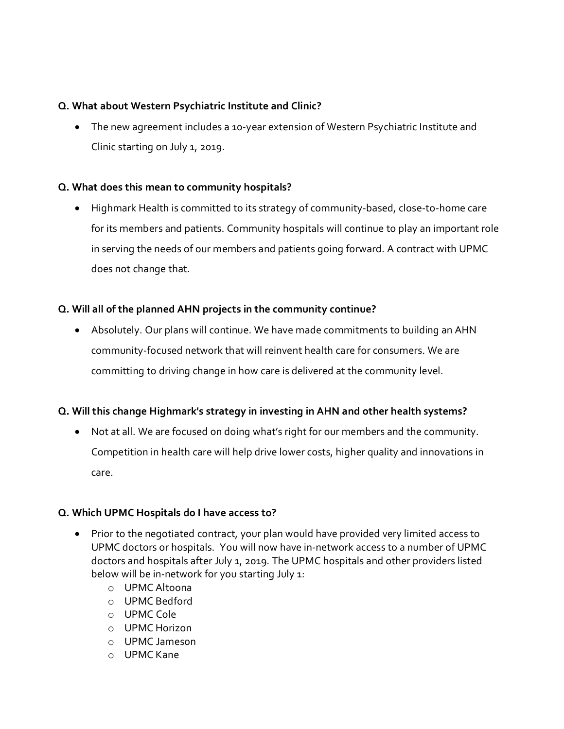## **Q. What about Western Psychiatric Institute and Clinic?**

 The new agreement includes a 10-year extension of Western Psychiatric Institute and Clinic starting on July 1, 2019.

## **Q. What does this mean to community hospitals?**

 Highmark Health is committed to its strategy of community-based, close-to-home care for its members and patients. Community hospitals will continue to play an important role in serving the needs of our members and patients going forward. A contract with UPMC does not change that.

## **Q. Will all of the planned AHN projects in the community continue?**

 Absolutely. Our plans will continue. We have made commitments to building an AHN community-focused network that will reinvent health care for consumers. We are committing to driving change in how care is delivered at the community level.

## **Q. Will this change Highmark's strategy in investing in AHN and other health systems?**

 Not at all. We are focused on doing what's right for our members and the community. Competition in health care will help drive lower costs, higher quality and innovations in care.

## **Q. Which UPMC Hospitals do I have access to?**

- Prior to the negotiated contract, your plan would have provided very limited access to UPMC doctors or hospitals. You will now have in-network access to a number of UPMC doctors and hospitals after July 1, 2019. The UPMC hospitals and other providers listed below will be in-network for you starting July 1:
	- o UPMC Altoona
	- o UPMC Bedford
	- o UPMC Cole
	- o UPMC Horizon
	- o UPMC Jameson
	- o UPMC Kane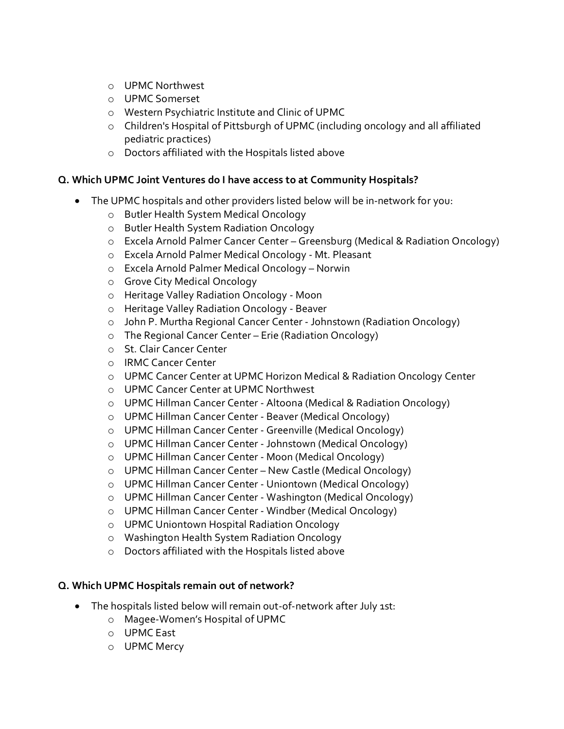- o UPMC Northwest
- o UPMC Somerset
- o Western Psychiatric Institute and Clinic of UPMC
- o Children's Hospital of Pittsburgh of UPMC (including oncology and all affiliated pediatric practices)
- o Doctors affiliated with the Hospitals listed above

## **Q. Which UPMC Joint Ventures do I have access to at Community Hospitals?**

- The UPMC hospitals and other providers listed below will be in-network for you:
	- o Butler Health System Medical Oncology
	- o Butler Health System Radiation Oncology
	- o Excela Arnold Palmer Cancer Center Greensburg (Medical & Radiation Oncology)
	- o Excela Arnold Palmer Medical Oncology Mt. Pleasant
	- o Excela Arnold Palmer Medical Oncology Norwin
	- o Grove City Medical Oncology
	- o Heritage Valley Radiation Oncology Moon
	- o Heritage Valley Radiation Oncology Beaver
	- o John P. Murtha Regional Cancer Center Johnstown (Radiation Oncology)
	- o The Regional Cancer Center Erie (Radiation Oncology)
	- o St. Clair Cancer Center
	- o IRMC Cancer Center
	- o UPMC Cancer Center at UPMC Horizon Medical & Radiation Oncology Center
	- o UPMC Cancer Center at UPMC Northwest
	- o UPMC Hillman Cancer Center Altoona (Medical & Radiation Oncology)
	- o UPMC Hillman Cancer Center Beaver (Medical Oncology)
	- o UPMC Hillman Cancer Center Greenville (Medical Oncology)
	- o UPMC Hillman Cancer Center Johnstown (Medical Oncology)
	- o UPMC Hillman Cancer Center Moon (Medical Oncology)
	- o UPMC Hillman Cancer Center New Castle (Medical Oncology)
	- o UPMC Hillman Cancer Center Uniontown (Medical Oncology)
	- o UPMC Hillman Cancer Center Washington (Medical Oncology)
	- o UPMC Hillman Cancer Center Windber (Medical Oncology)
	- o UPMC Uniontown Hospital Radiation Oncology
	- o Washington Health System Radiation Oncology
	- o Doctors affiliated with the Hospitals listed above

## **Q. Which UPMC Hospitals remain out of network?**

- The hospitals listed below will remain out-of-network after July 1st:
	- o Magee-Women's Hospital of UPMC
	- o UPMC East
	- o UPMC Mercy